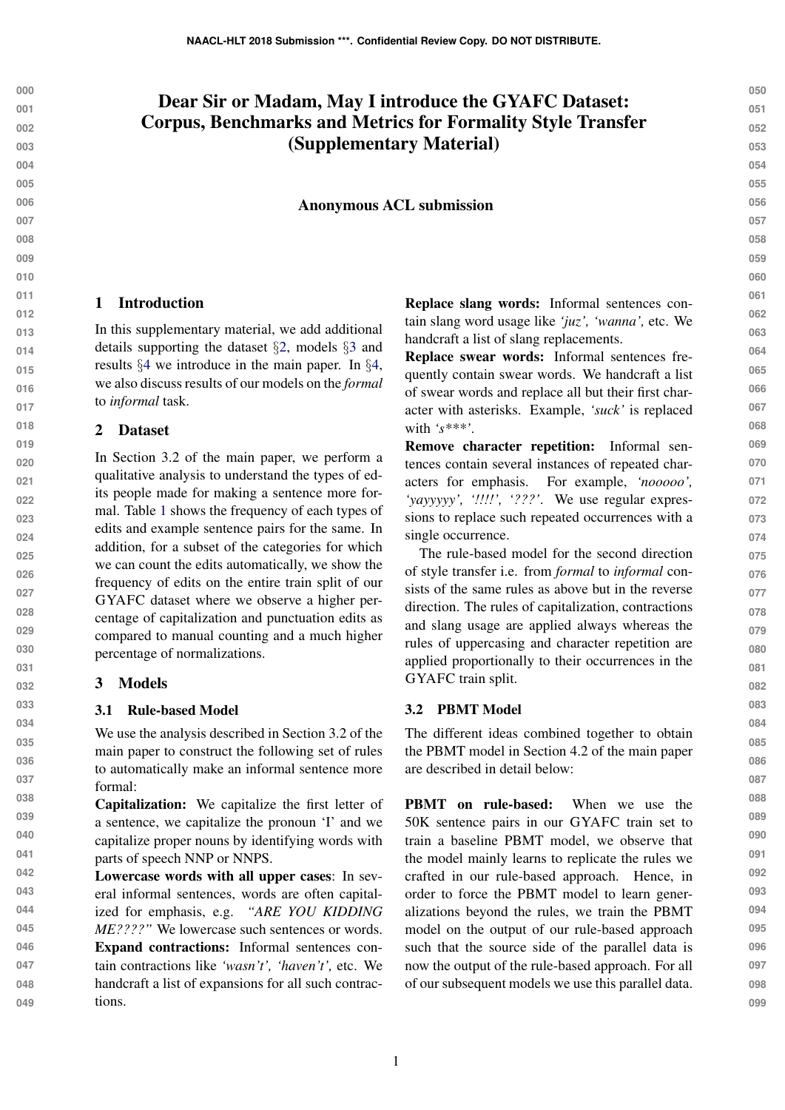# Dear Sir or Madam, May I introduce the GYAFC Dataset: Corpus, Benchmarks and Metrics for Formality Style Transfer (Supplementary Material)

Anonymous ACL submission

## 1 Introduction

In this supplementary material, we add additional details supporting the dataset §[2,](#page-0-0) models §[3](#page-0-1) and results §[4](#page-1-0) we introduce in the main paper. In §[4,](#page-1-0) we also discuss results of our models on the *formal* to *informal* task.

## <span id="page-0-0"></span>2 Dataset

In Section 3.2 of the main paper, we perform a qualitative analysis to understand the types of edits people made for making a sentence more formal. Table [1](#page-1-1) shows the frequency of each types of edits and example sentence pairs for the same. In addition, for a subset of the categories for which we can count the edits automatically, we show the frequency of edits on the entire train split of our GYAFC dataset where we observe a higher percentage of capitalization and punctuation edits as compared to manual counting and a much higher percentage of normalizations.

#### <span id="page-0-1"></span>3 Models

#### 3.1 Rule-based Model

We use the analysis described in Section 3.2 of the main paper to construct the following set of rules to automatically make an informal sentence more formal:

**038 039 040 041** Capitalization: We capitalize the first letter of a sentence, we capitalize the pronoun 'I' and we capitalize proper nouns by identifying words with parts of speech NNP or NNPS.

**042 043 044 045 046 047 048 049** Lowercase words with all upper cases: In several informal sentences, words are often capitalized for emphasis, e.g. *"ARE YOU KIDDING ME????"* We lowercase such sentences or words. Expand contractions: Informal sentences contain contractions like *'wasn't', 'haven't',* etc. We handcraft a list of expansions for all such contractions.

Replace slang words: Informal sentences contain slang word usage like *'juz', 'wanna',* etc. We handcraft a list of slang replacements.

Replace swear words: Informal sentences frequently contain swear words. We handcraft a list of swear words and replace all but their first character with asterisks. Example, *'suck'* is replaced with *'s\*\*\*'*.

Remove character repetition: Informal sentences contain several instances of repeated characters for emphasis. For example, *'nooooo', 'yayyyyy', '!!!!', '???'*. We use regular expressions to replace such repeated occurrences with a single occurrence.

The rule-based model for the second direction of style transfer i.e. from *formal* to *informal* consists of the same rules as above but in the reverse direction. The rules of capitalization, contractions and slang usage are applied always whereas the rules of uppercasing and character repetition are applied proportionally to their occurrences in the GYAFC train split.

## 3.2 PBMT Model

The different ideas combined together to obtain the PBMT model in Section 4.2 of the main paper are described in detail below:

PBMT on rule-based: When we use the 50K sentence pairs in our GYAFC train set to train a baseline PBMT model, we observe that the model mainly learns to replicate the rules we crafted in our rule-based approach. Hence, in order to force the PBMT model to learn generalizations beyond the rules, we train the PBMT model on the output of our rule-based approach such that the source side of the parallel data is now the output of the rule-based approach. For all of our subsequent models we use this parallel data.

1

**099**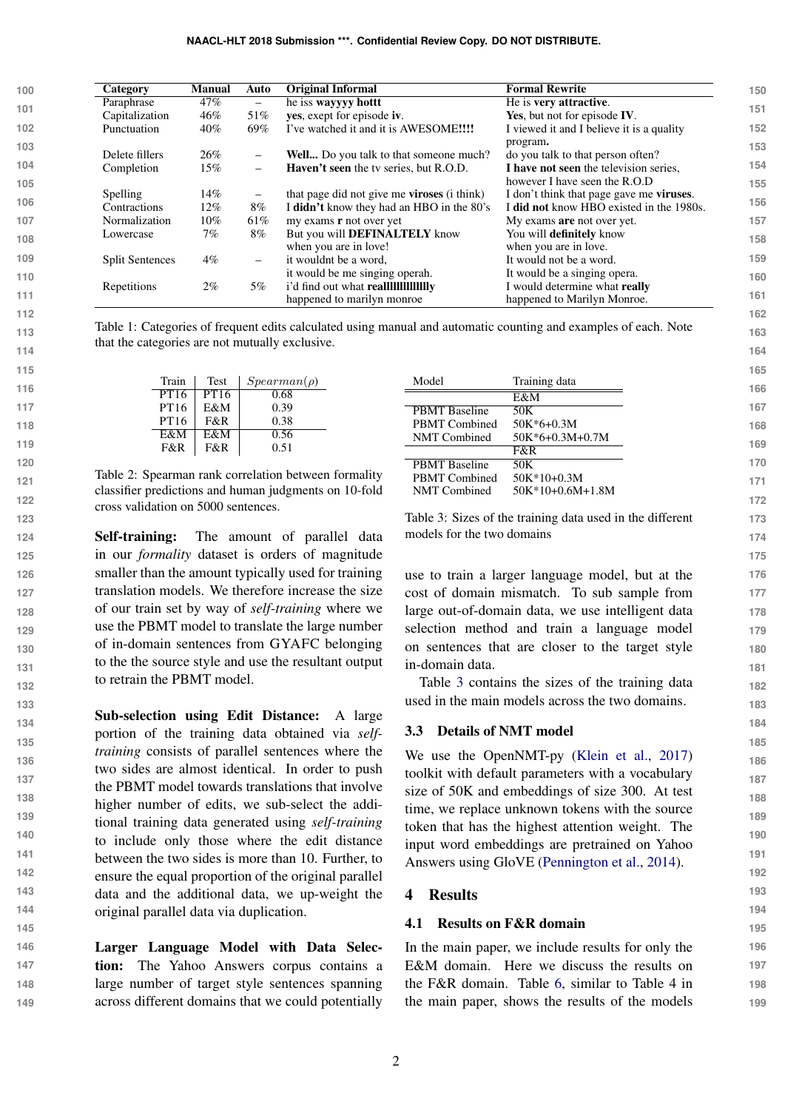| 100 | Category               | <b>Manual</b> | Auto                         | <b>Original Informal</b>                                   | <b>Formal Rewrite</b>                            |
|-----|------------------------|---------------|------------------------------|------------------------------------------------------------|--------------------------------------------------|
|     | Paraphrase             | 47%           | $\qquad \qquad -$            | he iss wayyyy hotter                                       | He is very attractive.                           |
| 101 | Capitalization         | 46%           | 51%                          | yes, exept for episode iv.                                 | Yes, but not for episode IV.                     |
| 102 | Punctuation            | 40%           | 69%                          | I've watched it and it is AWESOME!!!!                      | I viewed it and I believe it is a quality        |
| 103 |                        |               |                              |                                                            | program.                                         |
|     | Delete fillers         | 26%           | $\overline{\phantom{0}}$     | Well Do you talk to that someone much?                     | do you talk to that person often?                |
| 104 | Completion             | 15%           | $\overline{\phantom{0}}$     | Haven't seen the tv series, but R.O.D.                     | I have not seen the television series,           |
| 105 |                        |               |                              |                                                            | however I have seen the R.O.D                    |
|     | Spelling               | 14%           | $\qquad \qquad \blacksquare$ | that page did not give me <b>viroses</b> ( <i>i</i> think) | I don't think that page gave me <b>viruses</b> . |
| 106 | Contractions           | 12%           | $8\%$                        | I didn't know they had an HBO in the 80's                  | I did not know HBO existed in the 1980s.         |
| 107 | Normalization          | $10\%$        | 61%                          | my exams <b>r</b> not over yet                             | My exams are not over yet.                       |
| 108 | Lowercase              | 7%            | $8\%$                        | But you will <b>DEFINALTELY</b> know                       | You will <b>definitely</b> know                  |
|     |                        |               |                              | when you are in love!                                      | when you are in love.                            |
| 109 | <b>Split Sentences</b> | $4\%$         | $\overline{\phantom{0}}$     | it wouldnt be a word,                                      | It would not be a word.                          |
| 110 |                        |               |                              | it would be me singing operah.                             | It would be a singing opera.                     |
|     | Repetitions            | $2\%$         | 5%                           |                                                            | I would determine what really                    |
| 111 |                        |               |                              | happened to marilyn monroe                                 | happened to Marilyn Monroe.                      |
| 112 |                        |               |                              |                                                            |                                                  |

<span id="page-1-1"></span>Table 1: Categories of frequent edits calculated using manual and automatic counting and examples of each. Note that the categories are not mutually exclusive.

| Train | Test | $Spearman(\rho)$ |
|-------|------|------------------|
| PT16  | PT16 | 0.68             |
| PT16  | E&M  | 0.39             |
| PT16  | F&R  | 0.38             |
| E&M   | E&M  | 0.56             |
| F&R   | F&R  | 0.51             |

**145**

Table 2: Spearman rank correlation between formality classifier predictions and human judgments on 10-fold cross validation on 5000 sentences.

Self-training: The amount of parallel data in our *formality* dataset is orders of magnitude smaller than the amount typically used for training translation models. We therefore increase the size of our train set by way of *self-training* where we use the PBMT model to translate the large number of in-domain sentences from GYAFC belonging to the the source style and use the resultant output to retrain the PBMT model.

**133 134 135 136 137 138 139 140 141 142 143 144** Sub-selection using Edit Distance: A large portion of the training data obtained via *selftraining* consists of parallel sentences where the two sides are almost identical. In order to push the PBMT model towards translations that involve higher number of edits, we sub-select the additional training data generated using *self-training* to include only those where the edit distance between the two sides is more than 10. Further, to ensure the equal proportion of the original parallel data and the additional data, we up-weight the original parallel data via duplication.

**146 147 148 149** Larger Language Model with Data Selection: The Yahoo Answers corpus contains a large number of target style sentences spanning across different domains that we could potentially

| Model                | Training data      |  |
|----------------------|--------------------|--|
|                      | E&M                |  |
| <b>PBMT</b> Baseline | 50K                |  |
| <b>PBMT Combined</b> | $50K*6+0.3M$       |  |
| <b>NMT</b> Combined  | $50K*6+0.3M+0.7M$  |  |
|                      | F&R                |  |
| <b>PBMT</b> Baseline | 50K                |  |
| <b>PBMT</b> Combined | $50K*10+0.3M$      |  |
| <b>NMT</b> Combined  | $50K*10+0.6M+1.8M$ |  |
|                      |                    |  |

**163 164**

<span id="page-1-2"></span>Table 3: Sizes of the training data used in the different models for the two domains

use to train a larger language model, but at the cost of domain mismatch. To sub sample from large out-of-domain data, we use intelligent data selection method and train a language model on sentences that are closer to the target style in-domain data.

Table [3](#page-1-2) contains the sizes of the training data used in the main models across the two domains.

## 3.3 Details of NMT model

We use the OpenNMT-py [\(Klein et al.,](#page-2-0) [2017\)](#page-2-0) toolkit with default parameters with a vocabulary size of 50K and embeddings of size 300. At test time, we replace unknown tokens with the source token that has the highest attention weight. The input word embeddings are pretrained on Yahoo Answers using GloVE [\(Pennington et al.,](#page-2-1) [2014\)](#page-2-1).

## <span id="page-1-0"></span>4 Results

## 4.1 Results on F&R domain

In the main paper, we include results for only the E&M domain. Here we discuss the results on the F&R domain. Table [6,](#page-3-0) similar to Table 4 in the main paper, shows the results of the models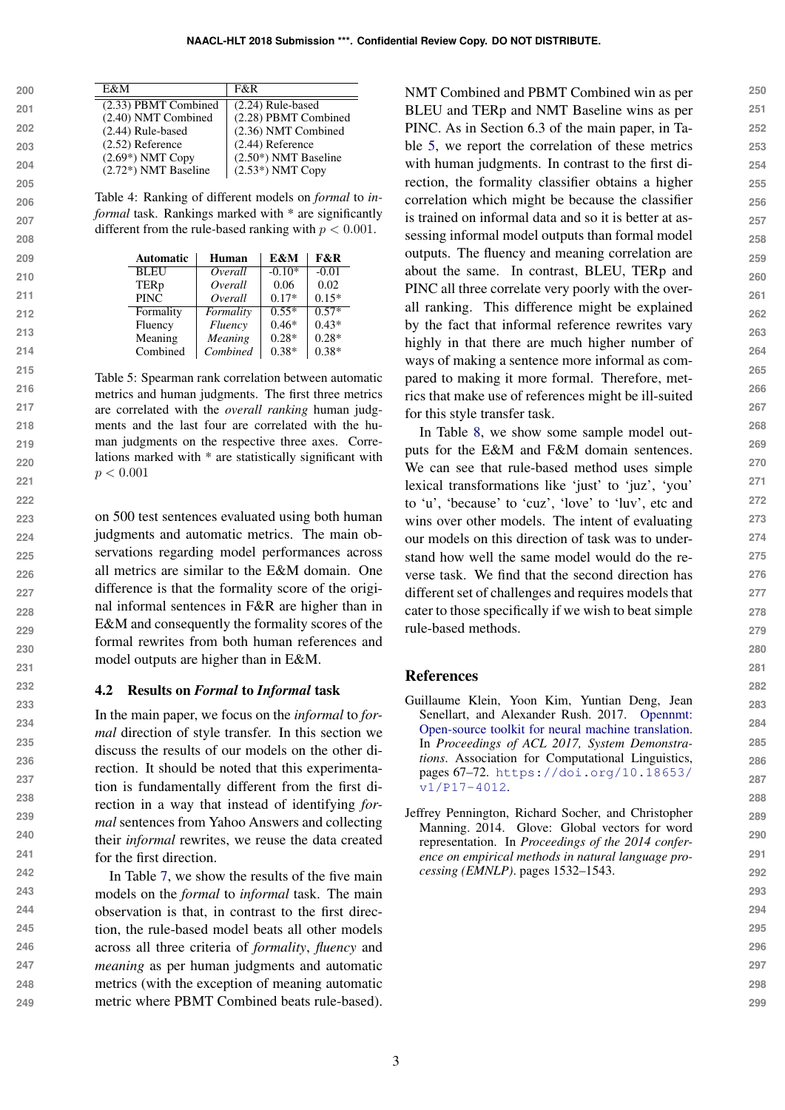| 200 | E&M                               | F&R                    |
|-----|-----------------------------------|------------------------|
| 201 | $\overline{(2.33)}$ PBMT Combined | $(2.24)$ Rule-based    |
|     | (2.40) NMT Combined               | (2.28) PBMT Combined   |
| 202 | $(2.44)$ Rule-based               | (2.36) NMT Combined    |
| 203 | $(2.52)$ Reference                | $(2.44)$ Reference     |
|     | $(2.69*)$ NMT Copy                | $(2.50*)$ NMT Baseline |
| 204 | $(2.72*)$ NMT Baseline            | $(2.53*)$ NMT Copy     |
| 205 |                                   |                        |

Table 4: Ranking of different models on *formal* to *informal* task. Rankings marked with \* are significantly different from the rule-based ranking with  $p < 0.001$ .

| <b>Automatic</b> | Human          | E&M      | F&R     |
|------------------|----------------|----------|---------|
| <b>BLEU</b>      | Overall        | $-0.10*$ | $-0.01$ |
| TERp             | Overall        | 0.06     | 0.02    |
| <b>PINC</b>      | Overall        | $0.17*$  | $0.15*$ |
| Formality        | Formality      | $0.55*$  | $0.57*$ |
| Fluency          | <b>Fluency</b> | $0.46*$  | $0.43*$ |
| Meaning          | Meaning        | $0.28*$  | $0.28*$ |
| Combined         | Combined       | $0.38*$  | $0.38*$ |

<span id="page-2-2"></span>Table 5: Spearman rank correlation between automatic metrics and human judgments. The first three metrics are correlated with the *overall ranking* human judgments and the last four are correlated with the human judgments on the respective three axes. Correlations marked with \* are statistically significant with  $p < 0.001$ 

on 500 test sentences evaluated using both human judgments and automatic metrics. The main observations regarding model performances across all metrics are similar to the E&M domain. One difference is that the formality score of the original informal sentences in F&R are higher than in E&M and consequently the formality scores of the formal rewrites from both human references and model outputs are higher than in E&M.

#### 4.2 Results on *Formal* to *Informal* task

In the main paper, we focus on the *informal* to *formal* direction of style transfer. In this section we discuss the results of our models on the other direction. It should be noted that this experimentation is fundamentally different from the first direction in a way that instead of identifying *formal* sentences from Yahoo Answers and collecting their *informal* rewrites, we reuse the data created for the first direction.

In Table [7,](#page-3-1) we show the results of the five main models on the *formal* to *informal* task. The main observation is that, in contrast to the first direction, the rule-based model beats all other models across all three criteria of *formality*, *fluency* and *meaning* as per human judgments and automatic metrics (with the exception of meaning automatic metric where PBMT Combined beats rule-based).

NMT Combined and PBMT Combined win as per BLEU and TERp and NMT Baseline wins as per PINC. As in Section 6.3 of the main paper, in Table [5,](#page-2-2) we report the correlation of these metrics with human judgments. In contrast to the first direction, the formality classifier obtains a higher correlation which might be because the classifier is trained on informal data and so it is better at assessing informal model outputs than formal model outputs. The fluency and meaning correlation are about the same. In contrast, BLEU, TERp and PINC all three correlate very poorly with the overall ranking. This difference might be explained by the fact that informal reference rewrites vary highly in that there are much higher number of ways of making a sentence more informal as compared to making it more formal. Therefore, metrics that make use of references might be ill-suited for this style transfer task.

In Table [8,](#page-3-2) we show some sample model outputs for the E&M and F&M domain sentences. We can see that rule-based method uses simple lexical transformations like 'just' to 'juz', 'you' to 'u', 'because' to 'cuz', 'love' to 'luv', etc and wins over other models. The intent of evaluating our models on this direction of task was to understand how well the same model would do the reverse task. We find that the second direction has different set of challenges and requires models that cater to those specifically if we wish to beat simple rule-based methods.

## References

- <span id="page-2-0"></span>Guillaume Klein, Yoon Kim, Yuntian Deng, Jean Senellart, and Alexander Rush. 2017. [Opennmt:](https://doi.org/10.18653/v1/P17-4012) [Open-source toolkit for neural machine translation.](https://doi.org/10.18653/v1/P17-4012) In *Proceedings of ACL 2017, System Demonstrations*. Association for Computational Linguistics, pages 67–72. [https://doi.org/10.18653/](https://doi.org/10.18653/v1/P17-4012) [v1/P17-4012](https://doi.org/10.18653/v1/P17-4012).
- <span id="page-2-1"></span>Jeffrey Pennington, Richard Socher, and Christopher Manning. 2014. Glove: Global vectors for word representation. In *Proceedings of the 2014 conference on empirical methods in natural language processing (EMNLP)*. pages 1532–1543.